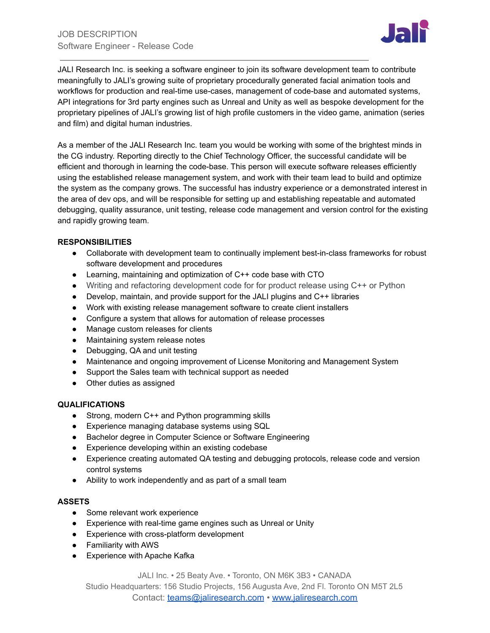

JALI Research Inc. is seeking a software engineer to join its software development team to contribute meaningfully to JALI's growing suite of proprietary procedurally generated facial animation tools and workflows for production and real-time use-cases, management of code-base and automated systems, API integrations for 3rd party engines such as Unreal and Unity as well as bespoke development for the proprietary pipelines of JALI's growing list of high profile customers in the video game, animation (series and film) and digital human industries.

As a member of the JALI Research Inc. team you would be working with some of the brightest minds in the CG industry. Reporting directly to the Chief Technology Officer, the successful candidate will be efficient and thorough in learning the code-base. This person will execute software releases efficiently using the established release management system, and work with their team lead to build and optimize the system as the company grows. The successful has industry experience or a demonstrated interest in the area of dev ops, and will be responsible for setting up and establishing repeatable and automated debugging, quality assurance, unit testing, release code management and version control for the existing and rapidly growing team.

# **RESPONSIBILITIES**

- Collaborate with development team to continually implement best-in-class frameworks for robust software development and procedures
- Learning, maintaining and optimization of C++ code base with CTO
- Writing and refactoring development code for for product release using C++ or Python
- Develop, maintain, and provide support for the JALI plugins and C++ libraries
- Work with existing release management software to create client installers
- Configure a system that allows for automation of release processes
- Manage custom releases for clients
- Maintaining system release notes
- Debugging, QA and unit testing
- Maintenance and ongoing improvement of License Monitoring and Management System
- Support the Sales team with technical support as needed
- Other duties as assigned

# **QUALIFICATIONS**

- Strong, modern C++ and Python programming skills
- Experience managing database systems using SQL
- Bachelor degree in Computer Science or Software Engineering
- Experience developing within an existing codebase
- Experience creating automated QA testing and debugging protocols, release code and version control systems
- Ability to work independently and as part of a small team

# **ASSETS**

- Some relevant work experience
- Experience with real-time game engines such as Unreal or Unity
- Experience with cross-platform development
- Familiarity with AWS
- Experience with Apache Kafka

JALI Inc. • 25 Beaty Ave. • Toronto, ON M6K 3B3 • CANADA

Studio Headquarters: 156 Studio Projects, 156 Augusta Ave, 2nd Fl. Toronto ON M5T 2L5 Contact: [teams@jaliresearch.com](mailto:teams@jaliresearch.com) • [www.jaliresearch.com](http://www.jaliresearch.com)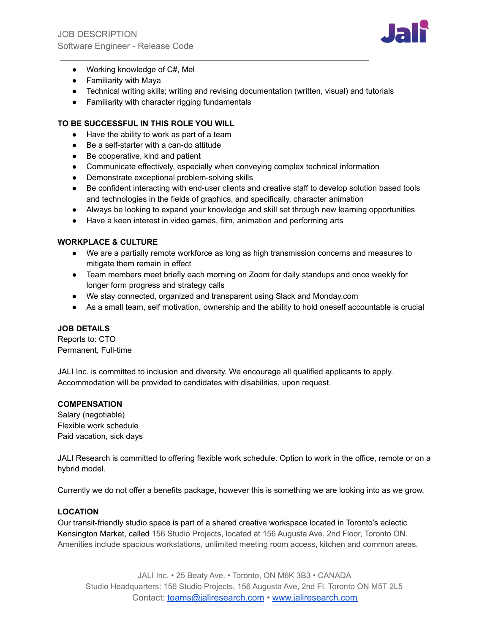

- Working knowledge of C#, Mel
- Familiarity with Maya
- Technical writing skills; writing and revising documentation (written, visual) and tutorials
- Familiarity with character rigging fundamentals

## **TO BE SUCCESSFUL IN THIS ROLE YOU WILL**

- Have the ability to work as part of a team
- Be a self-starter with a can-do attitude
- Be cooperative, kind and patient
- Communicate effectively, especially when conveying complex technical information
- Demonstrate exceptional problem-solving skills
- Be confident interacting with end-user clients and creative staff to develop solution based tools and technologies in the fields of graphics, and specifically, character animation
- Always be looking to expand your knowledge and skill set through new learning opportunities
- Have a keen interest in video games, film, animation and performing arts

#### **WORKPLACE & CULTURE**

- We are a partially remote workforce as long as high transmission concerns and measures to mitigate them remain in effect
- Team members meet briefly each morning on Zoom for daily standups and once weekly for longer form progress and strategy calls
- We stay connected, organized and transparent using Slack and Monday.com
- As a small team, self motivation, ownership and the ability to hold oneself accountable is crucial

#### **JOB DETAILS**

Reports to: CTO Permanent, Full-time

JALI Inc. is committed to inclusion and diversity. We encourage all qualified applicants to apply. Accommodation will be provided to candidates with disabilities, upon request.

#### **COMPENSATION**

Salary (negotiable) Flexible work schedule Paid vacation, sick days

JALI Research is committed to offering flexible work schedule. Option to work in the office, remote or on a hybrid model.

Currently we do not offer a benefits package, however this is something we are looking into as we grow.

#### **LOCATION**

Our transit-friendly studio space is part of a shared creative workspace located in Toronto's eclectic Kensington Market, called 156 Studio Projects, located at 156 Augusta Ave. 2nd Floor, Toronto ON. Amenities include spacious workstations, unlimited meeting room access, kitchen and common areas.